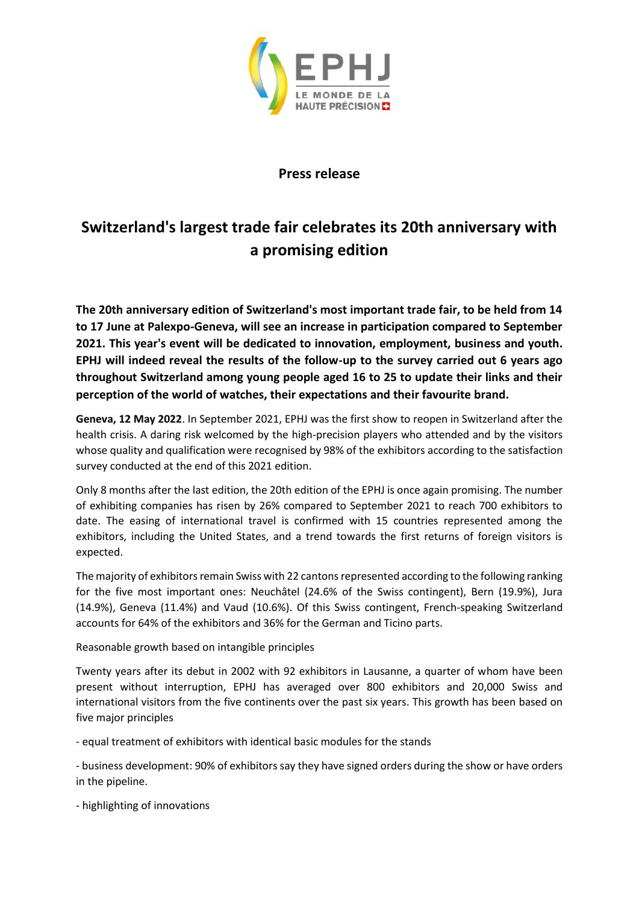

## **Press release**

# **Switzerland's largest trade fair celebrates its 20th anniversary with a promising edition**

**The 20th anniversary edition of Switzerland's most important trade fair, to be held from 14 to 17 June at Palexpo-Geneva, will see an increase in participation compared to September 2021. This year's event will be dedicated to innovation, employment, business and youth. EPHJ will indeed reveal the results of the follow-up to the survey carried out 6 years ago throughout Switzerland among young people aged 16 to 25 to update their links and their perception of the world of watches, their expectations and their favourite brand.**

**Geneva, 12 May 2022**. In September 2021, EPHJ was the first show to reopen in Switzerland after the health crisis. A daring risk welcomed by the high-precision players who attended and by the visitors whose quality and qualification were recognised by 98% of the exhibitors according to the satisfaction survey conducted at the end of this 2021 edition.

Only 8 months after the last edition, the 20th edition of the EPHJ is once again promising. The number of exhibiting companies has risen by 26% compared to September 2021 to reach 700 exhibitors to date. The easing of international travel is confirmed with 15 countries represented among the exhibitors, including the United States, and a trend towards the first returns of foreign visitors is expected.

The majority of exhibitors remain Swiss with 22 cantons represented according to the following ranking for the five most important ones: Neuchâtel (24.6% of the Swiss contingent), Bern (19.9%), Jura (14.9%), Geneva (11.4%) and Vaud (10.6%). Of this Swiss contingent, French-speaking Switzerland accounts for 64% of the exhibitors and 36% for the German and Ticino parts.

Reasonable growth based on intangible principles

Twenty years after its debut in 2002 with 92 exhibitors in Lausanne, a quarter of whom have been present without interruption, EPHJ has averaged over 800 exhibitors and 20,000 Swiss and international visitors from the five continents over the past six years. This growth has been based on five major principles

- equal treatment of exhibitors with identical basic modules for the stands

- business development: 90% of exhibitors say they have signed orders during the show or have orders in the pipeline.

- highlighting of innovations